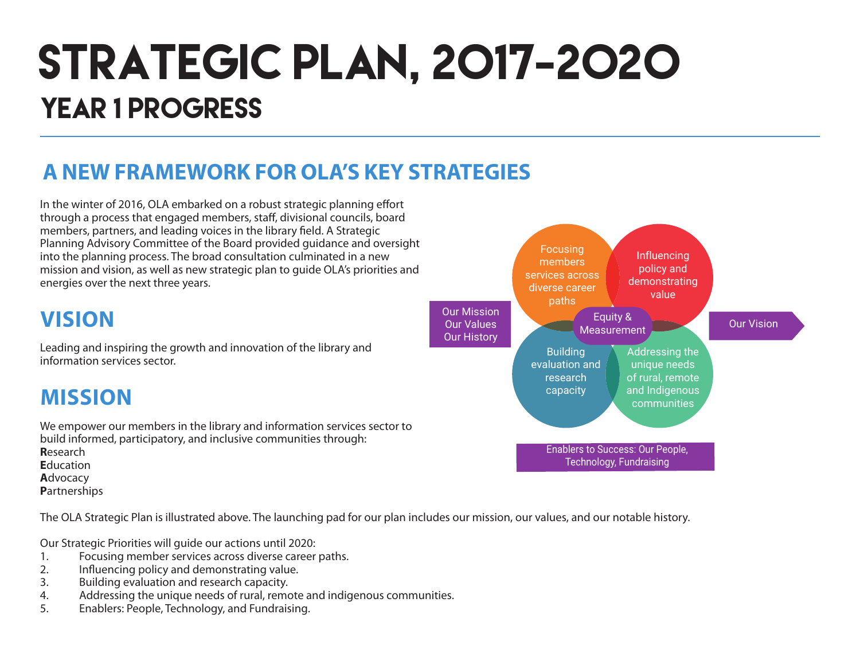# STRATEGIC PLAN, 2017-2020 YEAR 1 PROGRESS

### **A NEW FRAMEWORK FOR OLA'S KEY STRATEGIES**

In the winter of 2016, OLA embarked on a robust strategic planning effort through a process that engaged members, staff, divisional councils, board members, partners, and leading voices in the library field. A Strategic Planning Advisory Committee of the Board provided guidance and oversight into the planning process. The broad consultation culminated in a new mission and vision, as well as new strategic plan to guide OLA's priorities and energies over the next three years.

### **VISION**

Leading and inspiring the growth and innovation of the library and information services sector.

### **MISSION**

We empower our members in the library and information services sector to build informed, participatory, and inclusive communities through: **R**esearch **E**ducation **A**dvocacy

**P**artnerships

The OLA Strategic Plan is illustrated above. The launching pad for our plan includes our mission, our values, and our notable history.

Our Strategic Priorities will guide our actions until 2020:

- 1. Focusing member services across diverse career paths.<br>2. Influencing policy and demonstrating value.
- 2. Influencing policy and demonstrating value.
- 3. Building evaluation and research capacity.
- 4. Addressing the unique needs of rural, remote and indigenous communities.
- 5. Enablers: People, Technology, and Fundraising.

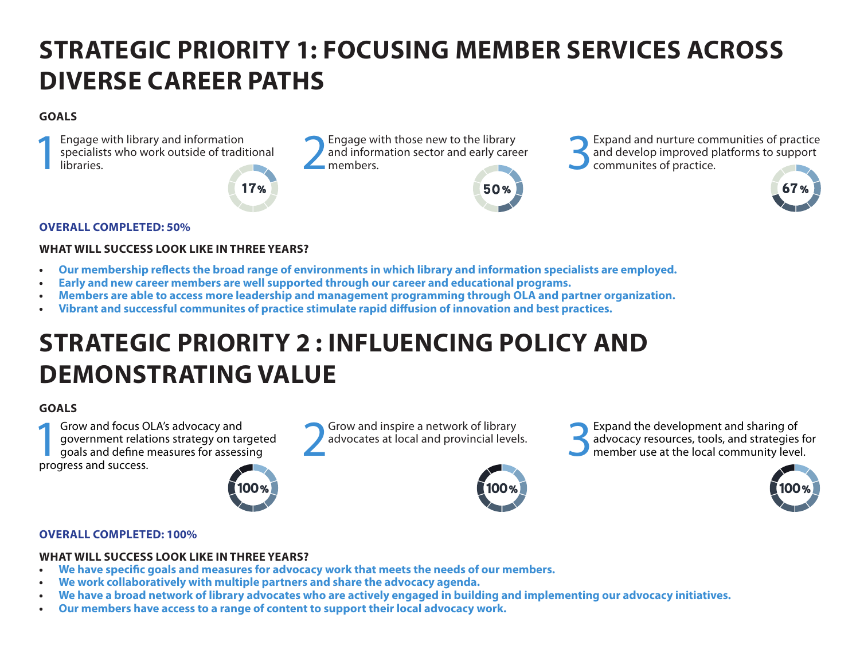## **STRATEGIC PRIORITY 1: FOCUSING MEMBER SERVICES ACROSS DIVERSE CAREER PATHS**

#### **GOALS**

Engage with library and information<br>specialists who work outside of tradit<br>libraries. specialists who work outside of traditional Engage with library and information<br>specialists who work outside of traditional and information sector and early care<br>libraries.<br>Notice that the members.

17%

and information sector and early career<br>members

Engage with those new to the library<br>and information sector and early career<br>members.<br> $\bigcup_{\text{commuities of practice.}}$ <br>Communites of practice. and develop improved platforms to support communites of practice.



#### **OVERALL COMPLETED: 50%**

#### **WHAT WILL SUCCESS LOOK LIKE IN THREE YEARS?**

- **• Our membership reflects the broad range of environments in which library and information specialists are employed.**
- **• Early and new career members are well supported through our career and educational programs.**
- **• Members are able to access more leadership and management programming through OLA and partner organization.**
- **Vibrant and successful communites of practice stimulate rapid diffusion of innovation and best practices.**

## **STRATEGIC PRIORITY 2 : INFLUENCING POLICY AND DEMONSTRATING VALUE**

#### **GOALS**

**1Grow and focus OLA's advocacy and<br>
government relations strategy on target<br>
goals and define measures for assessing<br>
progress and success** government relations strategy on targeted progress and success.



Grow and inspire a network of library<br>advocates at local and provincial levels.



50%

Grow and inspire a network of library<br>advocates at local and provincial levels.<br>The member use at the local community leve advocacy resources, tools, and strategies for member use at the local community level.



#### **OVERALL COMPLETED: 100%**

#### **WHAT WILL SUCCESS LOOK LIKE IN THREE YEARS?**

- **• We have specific goals and measures for advocacy work that meets the needs of our members.**
- **• We work collaboratively with multiple partners and share the advocacy agenda.**
- We have a broad network of library advocates who are actively engaged in building and implementing our advocacy initiatives.
- **• Our members have access to a range of content to support their local advocacy work.**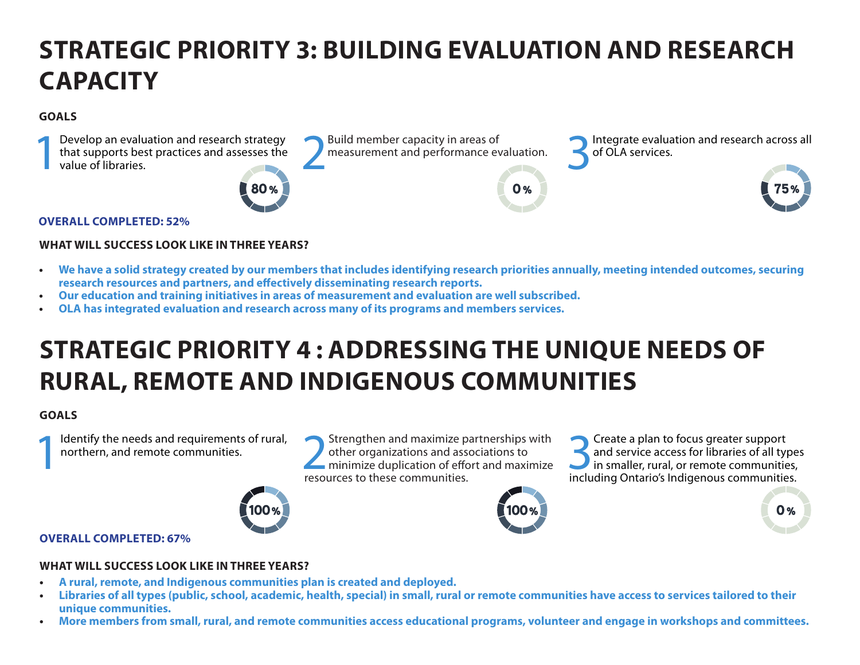## **STRATEGIC PRIORITY 3: BUILDING EVALUATION AND RESEARCH CAPACITY**

#### **GOALS**



#### **OVERALL COMPLETED: 52%**

#### **WHAT WILL SUCCESS LOOK LIKE IN THREE YEARS?**

- **• We have a solid strategy created by our members that includes identifying research priorities annually, meeting intended outcomes, securing research resources and partners, and effectively disseminating research reports.**
- **• Our education and training initiatives in areas of measurement and evaluation are well subscribed.**
- **OLA has integrated evaluation and research across many of its programs and members services.**

### **STRATEGIC PRIORITY 4 : ADDRESSING THE UNIQUE NEEDS OF RURAL, REMOTE AND INDIGENOUS COMMUNITIES**

#### **GOALS**

Identify the needs and requirements of rural, northern, and remote communities.

Identify the needs and requirements of rural,<br>
northern, and remote communities.<br> **EXECUTES TO DEALLY A PERIMEDIATE PARTLE PARTLE PARTLE PARTLE PARTLE PARTLE PARTLE PARTLE PARTLE PARTLE PARTLE PARTLE PARTLE PARTLE PARTLE P** other organizations and associations to minimize duplication of effort and maximize resources to these communities.



Solution of the set of and service access for libraries of all type in smaller, rural, or remote communities and service access for libraries of all types in smaller, rural, or remote communities, including Ontario's Indigenous communities.



#### **OVERALL COMPLETED: 67%**

#### **WHAT WILL SUCCESS LOOK LIKE IN THREE YEARS?**

- **• A rural, remote, and Indigenous communities plan is created and deployed.**
- Libraries of all types (public, school, academic, health, special) in small, rural or remote communities have access to services tailored to their **unique communities.**
- **• More members from small, rural, and remote communities access educational programs, volunteer and engage in workshops and committees.**